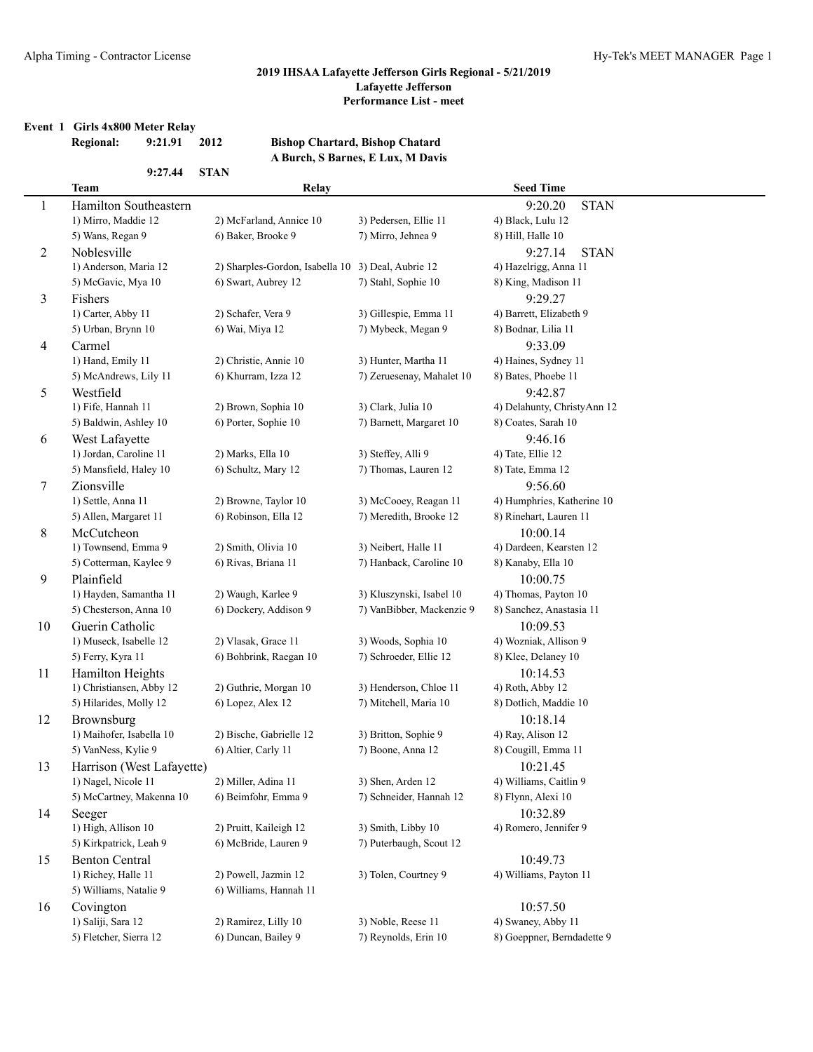#### **Event 1 Girls 4x800 Meter Relay**

## **Regional: 9:21.91 2012 Bishop Chartard, Bishop Chatard A Burch, S Barnes, E Lux, M Davis**

|                | 9:27.44                   | <b>STAN</b>                     | и вага в ваннея в вал, и вать |                             |
|----------------|---------------------------|---------------------------------|-------------------------------|-----------------------------|
|                | <b>Team</b>               | Relay                           |                               | <b>Seed Time</b>            |
| $\mathbf{1}$   | Hamilton Southeastern     |                                 |                               | 9:20.20<br><b>STAN</b>      |
|                | 1) Mirro, Maddie 12       | 2) McFarland, Annice 10         | 3) Pedersen, Ellie 11         | 4) Black, Lulu 12           |
|                | 5) Wans, Regan 9          | 6) Baker, Brooke 9              | 7) Mirro, Jehnea 9            | 8) Hill, Halle 10           |
| $\overline{c}$ | Noblesville               |                                 |                               | <b>STAN</b><br>9:27.14      |
|                | 1) Anderson, Maria 12     | 2) Sharples-Gordon, Isabella 10 | 3) Deal, Aubrie 12            | 4) Hazelrigg, Anna 11       |
|                | 5) McGavic, Mya 10        | 6) Swart, Aubrey 12             | 7) Stahl, Sophie 10           | 8) King, Madison 11         |
| 3              | Fishers                   |                                 |                               | 9:29.27                     |
|                | 1) Carter, Abby 11        | 2) Schafer, Vera 9              | 3) Gillespie, Emma 11         | 4) Barrett, Elizabeth 9     |
|                | 5) Urban, Brynn 10        | 6) Wai, Miya 12                 | 7) Mybeck, Megan 9            | 8) Bodnar, Lilia 11         |
| 4              | Carmel                    |                                 |                               | 9:33.09                     |
|                | 1) Hand, Emily 11         | 2) Christie, Annie 10           | 3) Hunter, Martha 11          | 4) Haines, Sydney 11        |
|                | 5) McAndrews, Lily 11     | 6) Khurram, Izza 12             | 7) Zeruesenay, Mahalet 10     | 8) Bates, Phoebe 11         |
| 5              | Westfield                 |                                 |                               | 9:42.87                     |
|                | 1) Fife, Hannah 11        | 2) Brown, Sophia 10             | 3) Clark, Julia 10            | 4) Delahunty, ChristyAnn 12 |
|                | 5) Baldwin, Ashley 10     | 6) Porter, Sophie 10            | 7) Barnett, Margaret 10       | 8) Coates, Sarah 10         |
| 6              | West Lafayette            |                                 |                               | 9:46.16                     |
|                | 1) Jordan, Caroline 11    | 2) Marks, Ella 10               | 3) Steffey, Alli 9            | 4) Tate, Ellie 12           |
|                | 5) Mansfield, Haley 10    | 6) Schultz, Mary 12             | 7) Thomas, Lauren 12          | 8) Tate, Emma 12            |
| 7              | Zionsville                |                                 |                               | 9:56.60                     |
|                | 1) Settle, Anna 11        | 2) Browne, Taylor 10            | 3) McCooey, Reagan 11         | 4) Humphries, Katherine 10  |
|                | 5) Allen, Margaret 11     | 6) Robinson, Ella 12            | 7) Meredith, Brooke 12        | 8) Rinehart, Lauren 11      |
| 8              | McCutcheon                |                                 |                               | 10:00.14                    |
|                | 1) Townsend, Emma 9       | 2) Smith, Olivia 10             | 3) Neibert, Halle 11          | 4) Dardeen, Kearsten 12     |
|                | 5) Cotterman, Kaylee 9    | 6) Rivas, Briana 11             | 7) Hanback, Caroline 10       | 8) Kanaby, Ella 10          |
| 9              | Plainfield                |                                 |                               | 10:00.75                    |
|                | 1) Hayden, Samantha 11    | 2) Waugh, Karlee 9              | 3) Kluszynski, Isabel 10      | 4) Thomas, Payton 10        |
|                | 5) Chesterson, Anna 10    | 6) Dockery, Addison 9           | 7) VanBibber, Mackenzie 9     | 8) Sanchez, Anastasia 11    |
| 10             | Guerin Catholic           |                                 |                               | 10:09.53                    |
|                | 1) Museck, Isabelle 12    | 2) Vlasak, Grace 11             | 3) Woods, Sophia 10           | 4) Wozniak, Allison 9       |
|                | 5) Ferry, Kyra 11         | 6) Bohbrink, Raegan 10          | 7) Schroeder, Ellie 12        | 8) Klee, Delaney 10         |
| 11             | Hamilton Heights          |                                 |                               | 10:14.53                    |
|                | 1) Christiansen, Abby 12  | 2) Guthrie, Morgan 10           | 3) Henderson, Chloe 11        | 4) Roth, Abby 12            |
|                | 5) Hilarides, Molly 12    | 6) Lopez, Alex 12               | 7) Mitchell, Maria 10         | 8) Dotlich, Maddie 10       |
| 12             | Brownsburg                |                                 |                               | 10:18.14                    |
|                | 1) Maihofer, Isabella 10  | 2) Bische, Gabrielle 12         | 3) Britton, Sophie 9          | 4) Ray, Alison 12           |
|                | 5) VanNess, Kylie 9       | 6) Altier, Carly 11             | 7) Boone, Anna 12             | 8) Cougill, Emma 11         |
| 13             | Harrison (West Lafayette) |                                 |                               | 10:21.45                    |
|                | 1) Nagel, Nicole 11       | 2) Miller, Adina 11             | 3) Shen, Arden 12             | 4) Williams, Caitlin 9      |
|                | 5) McCartney, Makenna 10  | 6) Beimfohr, Emma 9             | 7) Schneider, Hannah 12       | 8) Flynn, Alexi 10          |
| 14             | Seeger                    |                                 |                               | 10:32.89                    |
|                | 1) High, Allison 10       | 2) Pruitt, Kaileigh 12          | 3) Smith, Libby 10            | 4) Romero, Jennifer 9       |
|                | 5) Kirkpatrick, Leah 9    | 6) McBride, Lauren 9            | 7) Puterbaugh, Scout 12       |                             |
| 15             | <b>Benton Central</b>     |                                 |                               | 10:49.73                    |
|                | 1) Richey, Halle 11       | 2) Powell, Jazmin 12            | 3) Tolen, Courtney 9          | 4) Williams, Payton 11      |
|                | 5) Williams, Natalie 9    | 6) Williams, Hannah 11          |                               |                             |
| 16             | Covington                 |                                 |                               | 10:57.50                    |
|                | 1) Saliji, Sara 12        | 2) Ramirez, Lilly 10            | 3) Noble, Reese 11            | 4) Swaney, Abby 11          |
|                | 5) Fletcher, Sierra 12    | 6) Duncan, Bailey 9             | 7) Reynolds, Erin 10          | 8) Goeppner, Berndadette 9  |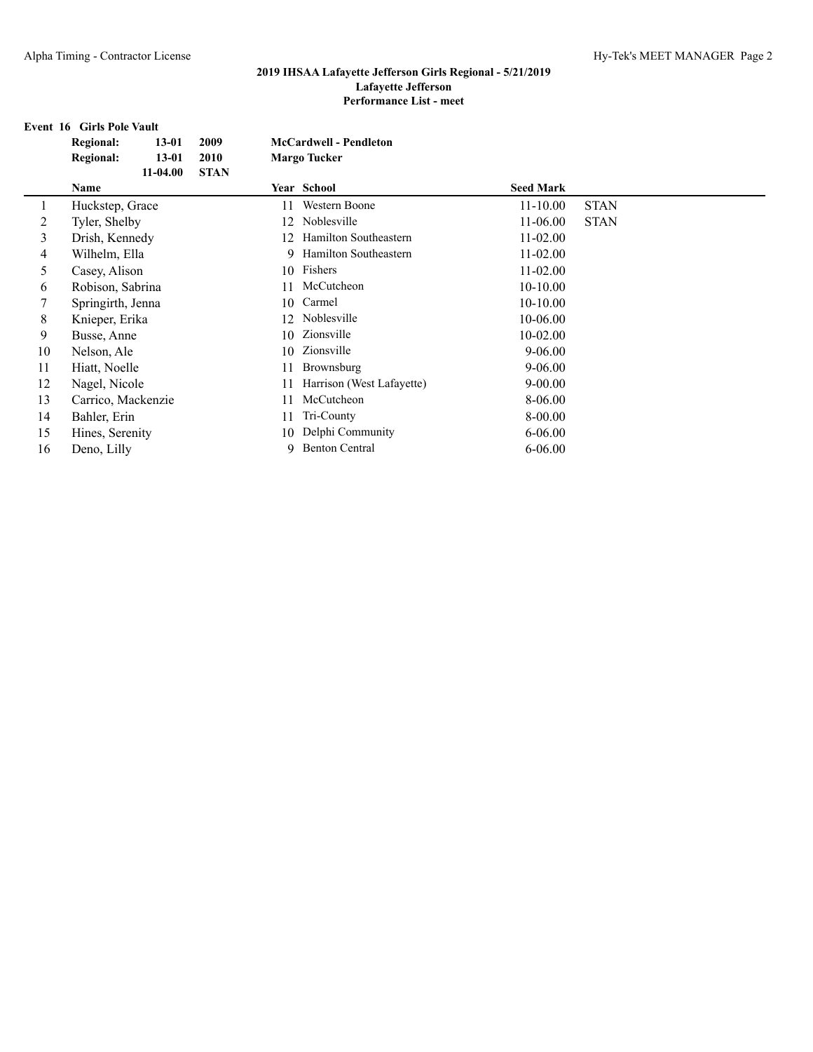|    | <b>Event 16 Girls Pole Vault</b> |             |    |                               |                  |             |  |  |  |  |
|----|----------------------------------|-------------|----|-------------------------------|------------------|-------------|--|--|--|--|
|    | <b>Regional:</b><br>$13 - 01$    | 2009        |    | <b>McCardwell - Pendleton</b> |                  |             |  |  |  |  |
|    | <b>Regional:</b><br>$13 - 01$    | 2010        |    | <b>Margo Tucker</b>           |                  |             |  |  |  |  |
|    | $11-04.00$                       | <b>STAN</b> |    |                               |                  |             |  |  |  |  |
|    | Name                             |             |    | Year School                   | <b>Seed Mark</b> |             |  |  |  |  |
|    | Huckstep, Grace                  |             | 11 | Western Boone                 | $11 - 10.00$     | <b>STAN</b> |  |  |  |  |
| 2  | Tyler, Shelby                    |             | 12 | Noblesville                   | $11-06.00$       | <b>STAN</b> |  |  |  |  |
| 3  | Drish, Kennedy                   |             | 12 | Hamilton Southeastern         | $11 - 02.00$     |             |  |  |  |  |
| 4  | Wilhelm, Ella                    |             | 9  | Hamilton Southeastern         | 11-02.00         |             |  |  |  |  |
| 5  | Casey, Alison                    |             |    | 10 Fishers                    | $11 - 02.00$     |             |  |  |  |  |
| 6  | Robison, Sabrina                 |             | 11 | McCutcheon                    | $10-10.00$       |             |  |  |  |  |
| 7  | Springirth, Jenna                |             | 10 | Carmel                        | $10-10.00$       |             |  |  |  |  |
| 8  | Knieper, Erika                   |             | 12 | Noblesville                   | 10-06.00         |             |  |  |  |  |
| 9  | Busse, Anne                      |             | 10 | Zionsville                    | 10-02.00         |             |  |  |  |  |
| 10 | Nelson, Ale                      |             | 10 | Zionsville                    | $9 - 06.00$      |             |  |  |  |  |
| 11 | Hiatt, Noelle                    |             | 11 | Brownsburg                    | 9-06.00          |             |  |  |  |  |
| 12 | Nagel, Nicole                    |             | 11 | Harrison (West Lafayette)     | $9 - 00.00$      |             |  |  |  |  |
| 13 | Carrico, Mackenzie               |             | 11 | McCutcheon                    | 8-06.00          |             |  |  |  |  |
| 14 | Bahler, Erin                     |             | 11 | Tri-County                    | 8-00.00          |             |  |  |  |  |
| 15 | Hines, Serenity                  |             | 10 | Delphi Community              | $6 - 06.00$      |             |  |  |  |  |
| 16 | Deno, Lilly                      |             | 9  | <b>Benton Central</b>         | $6 - 06.00$      |             |  |  |  |  |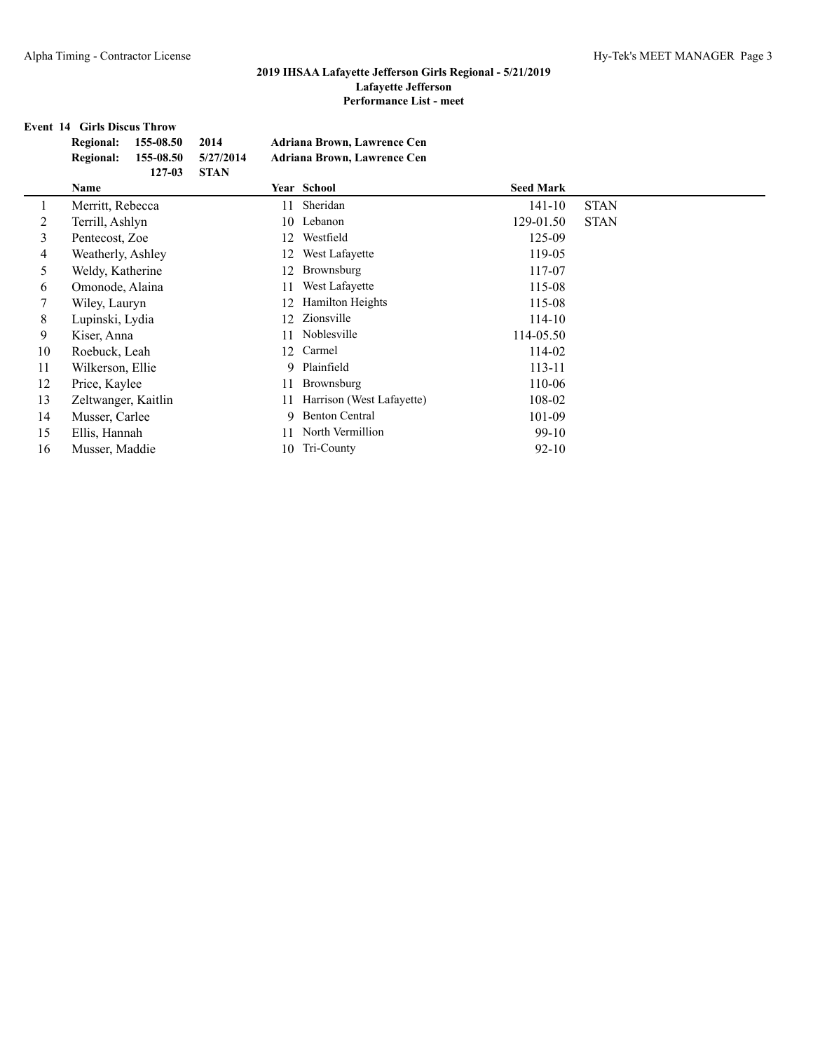# **Event 14 Girls Discus Throw**

|         | 155-08.50<br><b>Regional:</b><br>155-08.50<br><b>Regional:</b><br>$127 - 03$ | 2014<br>5/27/2014<br><b>STAN</b> | Adriana Brown, Lawrence Cen<br><b>Adriana Brown, Lawrence Cen</b> |                  |             |
|---------|------------------------------------------------------------------------------|----------------------------------|-------------------------------------------------------------------|------------------|-------------|
|         | Name                                                                         |                                  | Year School                                                       | <b>Seed Mark</b> |             |
| $\perp$ | Merritt, Rebecca                                                             | 11                               | Sheridan                                                          | $141 - 10$       | <b>STAN</b> |
| 2       | Terrill, Ashlyn                                                              | 10-                              | Lebanon                                                           | 129-01.50        | <b>STAN</b> |
| 3       | Pentecost, Zoe                                                               | 12                               | Westfield                                                         | 125-09           |             |
| 4       | Weatherly, Ashley                                                            | 12                               | West Lafayette                                                    | 119-05           |             |
| 5       | Weldy, Katherine                                                             | 12                               | Brownsburg                                                        | 117-07           |             |
| 6       | Omonode, Alaina                                                              |                                  | West Lafayette                                                    | 115-08           |             |
|         | Wiley, Lauryn                                                                | 12                               | <b>Hamilton Heights</b>                                           | 115-08           |             |
| 8       | Lupinski, Lydia                                                              | 12                               | Zionsville                                                        | $114 - 10$       |             |
| 9       | Kiser, Anna                                                                  |                                  | Noblesville                                                       | 114-05.50        |             |
| 10      | Roebuck, Leah                                                                | 12                               | Carmel                                                            | 114-02           |             |
| 11      | Wilkerson, Ellie                                                             | 9.                               | Plainfield                                                        | $113 - 11$       |             |
| 12      | Price, Kaylee                                                                |                                  | Brownsburg                                                        | 110-06           |             |
| 13      | Zeltwanger, Kaitlin                                                          |                                  | Harrison (West Lafayette)                                         | 108-02           |             |
| 14      | Musser, Carlee                                                               | 9                                | <b>Benton Central</b>                                             | 101-09           |             |
| 15      | Ellis, Hannah                                                                |                                  | North Vermillion                                                  | $99-10$          |             |
| 16      | Musser, Maddie                                                               |                                  | 10 Tri-County                                                     | $92 - 10$        |             |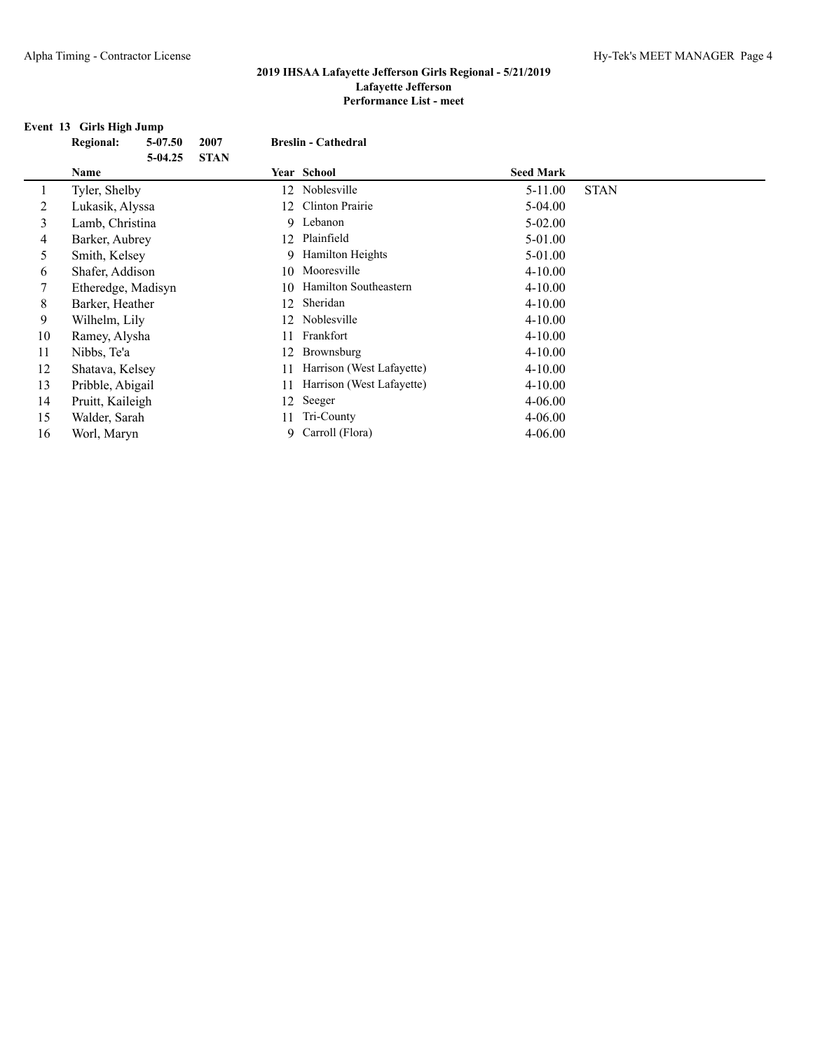#### **Event 13 Girls High Jump**

| <b>Regional:</b> | 5-07.50   | 2007                                                                                                                                                                                                                                                                            | <b>Breslin - Cathedral</b> |                                                            |                                                                                                                                                                       |  |                                                                                                                                                                                                                                                  |
|------------------|-----------|---------------------------------------------------------------------------------------------------------------------------------------------------------------------------------------------------------------------------------------------------------------------------------|----------------------------|------------------------------------------------------------|-----------------------------------------------------------------------------------------------------------------------------------------------------------------------|--|--------------------------------------------------------------------------------------------------------------------------------------------------------------------------------------------------------------------------------------------------|
|                  | $5-04.25$ | <b>STAN</b>                                                                                                                                                                                                                                                                     |                            |                                                            |                                                                                                                                                                       |  |                                                                                                                                                                                                                                                  |
| Name             |           |                                                                                                                                                                                                                                                                                 |                            |                                                            |                                                                                                                                                                       |  |                                                                                                                                                                                                                                                  |
|                  |           |                                                                                                                                                                                                                                                                                 |                            |                                                            |                                                                                                                                                                       |  | <b>STAN</b>                                                                                                                                                                                                                                      |
|                  |           |                                                                                                                                                                                                                                                                                 |                            | Clinton Prairie                                            |                                                                                                                                                                       |  |                                                                                                                                                                                                                                                  |
|                  |           |                                                                                                                                                                                                                                                                                 |                            |                                                            |                                                                                                                                                                       |  |                                                                                                                                                                                                                                                  |
|                  |           |                                                                                                                                                                                                                                                                                 |                            |                                                            |                                                                                                                                                                       |  |                                                                                                                                                                                                                                                  |
|                  |           |                                                                                                                                                                                                                                                                                 |                            |                                                            |                                                                                                                                                                       |  |                                                                                                                                                                                                                                                  |
|                  |           |                                                                                                                                                                                                                                                                                 |                            |                                                            |                                                                                                                                                                       |  |                                                                                                                                                                                                                                                  |
|                  |           |                                                                                                                                                                                                                                                                                 |                            |                                                            |                                                                                                                                                                       |  |                                                                                                                                                                                                                                                  |
|                  |           |                                                                                                                                                                                                                                                                                 |                            | Sheridan                                                   |                                                                                                                                                                       |  |                                                                                                                                                                                                                                                  |
|                  |           |                                                                                                                                                                                                                                                                                 |                            |                                                            |                                                                                                                                                                       |  |                                                                                                                                                                                                                                                  |
|                  |           |                                                                                                                                                                                                                                                                                 |                            | Frankfort                                                  |                                                                                                                                                                       |  |                                                                                                                                                                                                                                                  |
| Nibbs, Te'a      |           |                                                                                                                                                                                                                                                                                 |                            | Brownsburg                                                 |                                                                                                                                                                       |  |                                                                                                                                                                                                                                                  |
|                  |           |                                                                                                                                                                                                                                                                                 |                            | Harrison (West Lafayette)                                  |                                                                                                                                                                       |  |                                                                                                                                                                                                                                                  |
|                  |           |                                                                                                                                                                                                                                                                                 |                            | Harrison (West Lafayette)                                  |                                                                                                                                                                       |  |                                                                                                                                                                                                                                                  |
|                  |           |                                                                                                                                                                                                                                                                                 |                            |                                                            |                                                                                                                                                                       |  |                                                                                                                                                                                                                                                  |
|                  |           |                                                                                                                                                                                                                                                                                 |                            | Tri-County                                                 |                                                                                                                                                                       |  |                                                                                                                                                                                                                                                  |
|                  |           |                                                                                                                                                                                                                                                                                 | 9.                         |                                                            |                                                                                                                                                                       |  |                                                                                                                                                                                                                                                  |
|                  |           | Tyler, Shelby<br>Lukasik, Alyssa<br>Lamb, Christina<br>Barker, Aubrey<br>Smith, Kelsey<br>Shafer, Addison<br>Etheredge, Madisyn<br>Barker, Heather<br>Wilhelm, Lily<br>Ramey, Alysha<br>Shatava, Kelsey<br>Pribble, Abigail<br>Pruitt, Kaileigh<br>Walder, Sarah<br>Worl, Maryn |                            | 12<br>12<br>10<br>12.<br>12.<br>12<br>11<br>11<br>12<br>11 | Year School<br>Noblesville<br>9 Lebanon<br>12 Plainfield<br>9 Hamilton Heights<br>10 Mooresville<br>Hamilton Southeastern<br>Noblesville<br>Seeger<br>Carroll (Flora) |  | <b>Seed Mark</b><br>5-11.00<br>5-04.00<br>$5 - 02.00$<br>5-01.00<br>5-01.00<br>$4 - 10.00$<br>$4 - 10.00$<br>$4 - 10.00$<br>$4 - 10.00$<br>$4 - 10.00$<br>$4 - 10.00$<br>$4 - 10.00$<br>$4 - 10.00$<br>$4 - 06.00$<br>$4 - 06.00$<br>$4 - 06.00$ |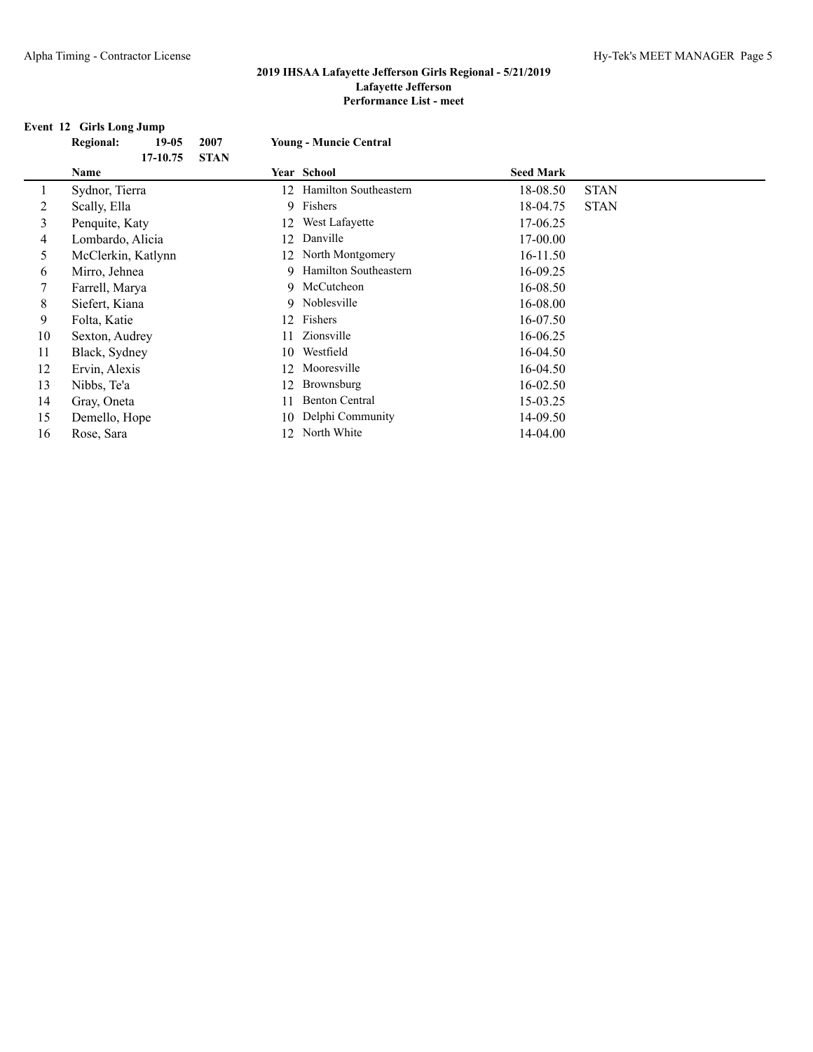#### **Event 12 Girls Long Jump**

| <b>Regional:</b><br>$19-05$ | 2007        |                       |                                                                                                              |             |
|-----------------------------|-------------|-----------------------|--------------------------------------------------------------------------------------------------------------|-------------|
| 17-10.75                    | <b>STAN</b> |                       |                                                                                                              |             |
| Name                        |             |                       | <b>Seed Mark</b>                                                                                             |             |
| Sydnor, Tierra              |             | Hamilton Southeastern | 18-08.50                                                                                                     | <b>STAN</b> |
| Scally, Ella                |             |                       | 18-04.75                                                                                                     | <b>STAN</b> |
| Penquite, Katy              | 12          | West Lafayette        | 17-06.25                                                                                                     |             |
| Lombardo, Alicia            | 12          | Danville              | 17-00.00                                                                                                     |             |
| McClerkin, Katlynn          |             | North Montgomery      | 16-11.50                                                                                                     |             |
| Mirro, Jehnea               |             | Hamilton Southeastern | 16-09.25                                                                                                     |             |
| Farrell, Marya              |             |                       | 16-08.50                                                                                                     |             |
| Siefert, Kiana              |             |                       | 16-08.00                                                                                                     |             |
| Folta, Katie                | 12          | Fishers               | 16-07.50                                                                                                     |             |
| Sexton, Audrey              | 11          | Zionsville            | 16-06.25                                                                                                     |             |
| Black, Sydney               | 10          | Westfield             | 16-04.50                                                                                                     |             |
| Ervin, Alexis               | 12          | Mooresville           | 16-04.50                                                                                                     |             |
| Nibbs, Te'a                 | 12          | Brownsburg            | 16-02.50                                                                                                     |             |
| Gray, Oneta                 | 11          | <b>Benton Central</b> | 15-03.25                                                                                                     |             |
| Demello, Hope               | 10          | Delphi Community      | 14-09.50                                                                                                     |             |
| Rose, Sara                  | 12          | North White           | 14-04.00                                                                                                     |             |
|                             |             |                       | <b>Young - Muncie Central</b><br>Year School<br>12<br>9 Fishers<br>12<br>9.<br>9 McCutcheon<br>9 Noblesville |             |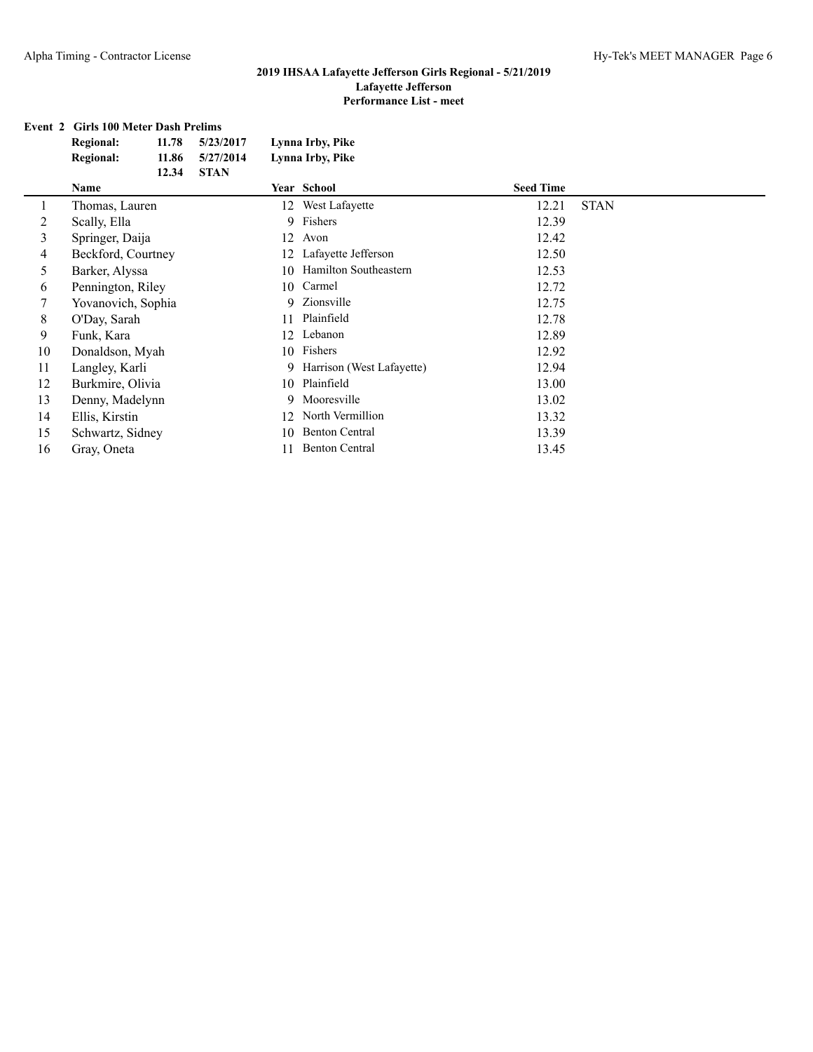#### **Event 2 Girls 100 Meter Dash Prelims**

|    | Event 2 Girls 100 Meter Dash Prelims |       |             |                  |                           |                  |             |  |  |  |  |
|----|--------------------------------------|-------|-------------|------------------|---------------------------|------------------|-------------|--|--|--|--|
|    | <b>Regional:</b>                     | 11.78 | 5/23/2017   | Lynna Irby, Pike |                           |                  |             |  |  |  |  |
|    | <b>Regional:</b>                     | 11.86 | 5/27/2014   |                  | Lynna Irby, Pike          |                  |             |  |  |  |  |
|    | 12.34                                |       | <b>STAN</b> |                  |                           |                  |             |  |  |  |  |
|    | Name                                 |       |             |                  | Year School               | <b>Seed Time</b> |             |  |  |  |  |
| 1  | Thomas, Lauren                       |       |             | 12               | West Lafayette            | 12.21            | <b>STAN</b> |  |  |  |  |
| 2  | Scally, Ella                         |       |             | 9                | Fishers                   | 12.39            |             |  |  |  |  |
| 3  | Springer, Daija                      |       |             | 12               | Avon                      | 12.42            |             |  |  |  |  |
| 4  | Beckford, Courtney                   |       |             | 12               | Lafayette Jefferson       | 12.50            |             |  |  |  |  |
| 5  | Barker, Alyssa                       |       |             | 10               | Hamilton Southeastern     | 12.53            |             |  |  |  |  |
| 6  | Pennington, Riley                    |       |             | 10               | Carmel                    | 12.72            |             |  |  |  |  |
| 7  | Yovanovich, Sophia                   |       |             | 9                | Zionsville                | 12.75            |             |  |  |  |  |
| 8  | O'Day, Sarah                         |       |             | 11               | Plainfield                | 12.78            |             |  |  |  |  |
| 9  | Funk, Kara                           |       |             | 12               | Lebanon                   | 12.89            |             |  |  |  |  |
| 10 | Donaldson, Myah                      |       |             | 10               | Fishers                   | 12.92            |             |  |  |  |  |
| 11 | Langley, Karli                       |       |             | 9                | Harrison (West Lafayette) | 12.94            |             |  |  |  |  |
| 12 | Burkmire, Olivia                     |       |             | 10               | Plainfield                | 13.00            |             |  |  |  |  |
| 13 | Denny, Madelynn                      |       |             | 9                | Mooresville               | 13.02            |             |  |  |  |  |
| 14 | Ellis, Kirstin                       |       |             | 12               | North Vermillion          | 13.32            |             |  |  |  |  |
| 15 | Schwartz, Sidney                     |       |             | 10               | <b>Benton Central</b>     | 13.39            |             |  |  |  |  |

16 Gray, Oneta 11 Benton Central 13.45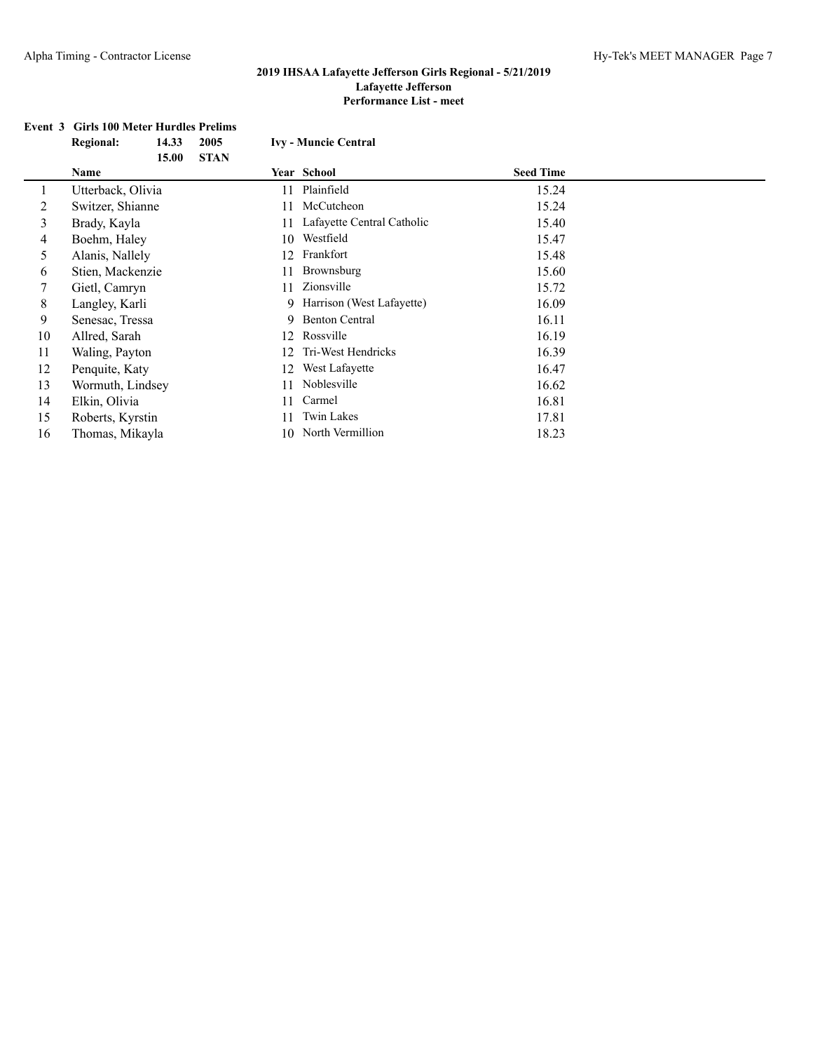# **Event 3 Girls 100 Meter Hurdles Prelims**

|    | <b>Regional:</b>  | 14.33 | 2005        |    | <b>Ivy - Muncie Central</b> |                  |  |  |  |  |
|----|-------------------|-------|-------------|----|-----------------------------|------------------|--|--|--|--|
|    |                   | 15.00 | <b>STAN</b> |    |                             |                  |  |  |  |  |
|    | <b>Name</b>       |       |             |    | <b>Year School</b>          | <b>Seed Time</b> |  |  |  |  |
|    | Utterback, Olivia |       |             | 11 | Plainfield                  | 15.24            |  |  |  |  |
| 2  | Switzer, Shianne  |       |             | 11 | McCutcheon                  | 15.24            |  |  |  |  |
| 3  | Brady, Kayla      |       |             |    | Lafayette Central Catholic  | 15.40            |  |  |  |  |
| 4  | Boehm, Haley      |       |             | 10 | Westfield                   | 15.47            |  |  |  |  |
| 5  | Alanis, Nallely   |       |             | 12 | Frankfort                   | 15.48            |  |  |  |  |
| 6  | Stien, Mackenzie  |       |             |    | Brownsburg                  | 15.60            |  |  |  |  |
| 7  | Gietl, Camryn     |       |             | 11 | Zionsville                  | 15.72            |  |  |  |  |
| 8  | Langley, Karli    |       |             | 9. | Harrison (West Lafayette)   | 16.09            |  |  |  |  |
| 9  | Senesac, Tressa   |       |             | 9. | <b>Benton Central</b>       | 16.11            |  |  |  |  |
| 10 | Allred, Sarah     |       |             | 12 | Rossville                   | 16.19            |  |  |  |  |
| 11 | Waling, Payton    |       |             | 12 | Tri-West Hendricks          | 16.39            |  |  |  |  |
| 12 | Penquite, Katy    |       |             | 12 | West Lafayette              | 16.47            |  |  |  |  |
| 13 | Wormuth, Lindsey  |       |             | 11 | Noblesville                 | 16.62            |  |  |  |  |
| 14 | Elkin, Olivia     |       |             | 11 | Carmel                      | 16.81            |  |  |  |  |
| 15 | Roberts, Kyrstin  |       |             |    | Twin Lakes                  | 17.81            |  |  |  |  |
| 16 | Thomas, Mikayla   |       |             |    | 10 North Vermillion         | 18.23            |  |  |  |  |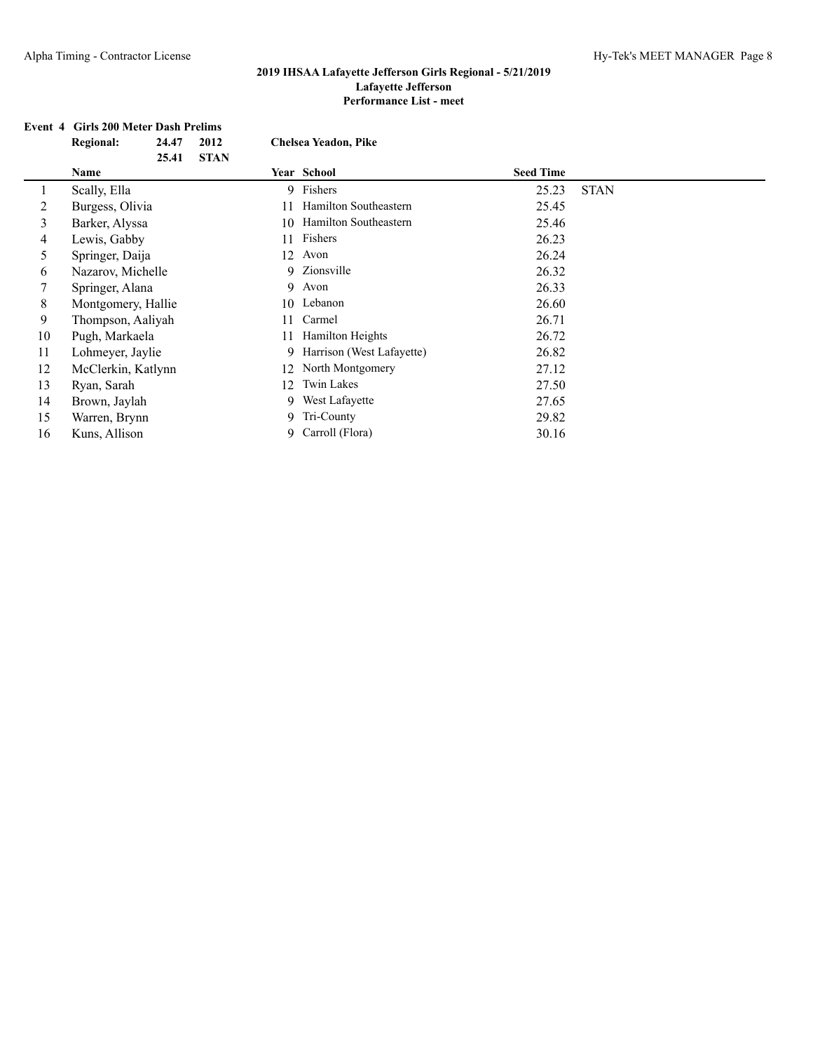#### **Event 4 Girls 200 Meter Dash Prelims**

|    | <b>Regional:</b>   | 24.47<br>25.41 | 2012<br><b>STAN</b> |    | <b>Chelsea Yeadon, Pike</b> |                  |             |  |
|----|--------------------|----------------|---------------------|----|-----------------------------|------------------|-------------|--|
|    | Name               |                |                     |    | Year School                 | <b>Seed Time</b> |             |  |
|    | Scally, Ella       |                |                     |    | 9 Fishers                   | 25.23            | <b>STAN</b> |  |
| 2  | Burgess, Olivia    |                |                     |    | Hamilton Southeastern       | 25.45            |             |  |
| 3  | Barker, Alyssa     |                |                     | 10 | Hamilton Southeastern       | 25.46            |             |  |
| 4  | Lewis, Gabby       |                |                     | 11 | Fishers                     | 26.23            |             |  |
| 5  | Springer, Daija    |                |                     | 12 | Avon                        | 26.24            |             |  |
| 6  | Nazarov, Michelle  |                |                     |    | 9 Zionsville                | 26.32            |             |  |
|    | Springer, Alana    |                |                     |    | 9 Avon                      | 26.33            |             |  |
| 8  | Montgomery, Hallie |                |                     |    | 10 Lebanon                  | 26.60            |             |  |
| 9  | Thompson, Aaliyah  |                |                     | 11 | Carmel                      | 26.71            |             |  |
| 10 | Pugh, Markaela     |                |                     | 11 | <b>Hamilton Heights</b>     | 26.72            |             |  |
| 11 | Lohmeyer, Jaylie   |                |                     |    | 9 Harrison (West Lafayette) | 26.82            |             |  |
| 12 | McClerkin, Katlynn |                |                     | 12 | North Montgomery            | 27.12            |             |  |
| 13 | Ryan, Sarah        |                |                     | 12 | Twin Lakes                  | 27.50            |             |  |
| 14 | Brown, Jaylah      |                |                     | 9. | West Lafayette              | 27.65            |             |  |
| 15 | Warren, Brynn      |                |                     |    | 9 Tri-County                | 29.82            |             |  |
| 16 | Kuns, Allison      |                |                     |    | 9 Carroll (Flora)           | 30.16            |             |  |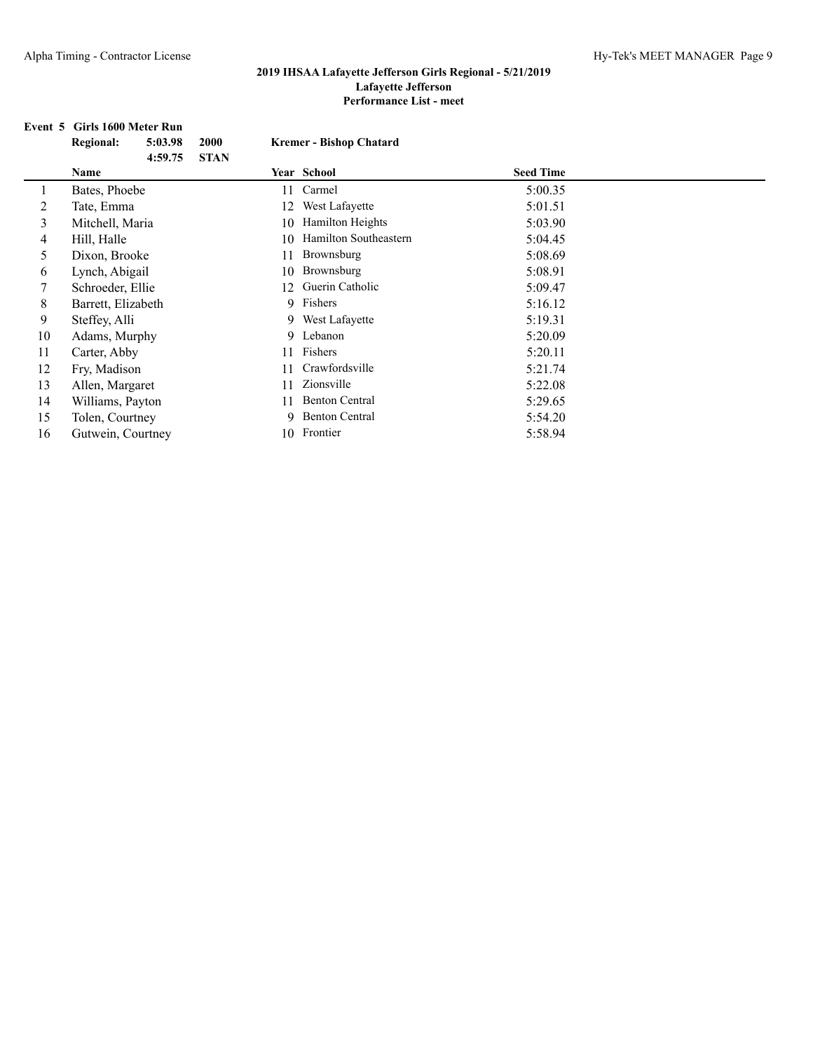## **Event 5 Girls 1600 Meter Run**

|    | <b>Regional:</b>   | 5:03.98 | <b>2000</b> | <b>Kremer - Bishop Chatard</b> |                       |  |                  |  |
|----|--------------------|---------|-------------|--------------------------------|-----------------------|--|------------------|--|
|    | Name               | 4:59.75 | <b>STAN</b> |                                | Year School           |  | <b>Seed Time</b> |  |
|    | Bates, Phoebe      |         |             | 11                             | Carmel                |  | 5:00.35          |  |
| 2  | Tate, Emma         |         |             | 12                             | West Lafayette        |  | 5:01.51          |  |
| 3  | Mitchell, Maria    |         |             | 10                             | Hamilton Heights      |  | 5:03.90          |  |
| 4  | Hill, Halle        |         |             | 10.                            | Hamilton Southeastern |  | 5:04.45          |  |
| 5. | Dixon, Brooke      |         |             | 11                             | Brownsburg            |  | 5:08.69          |  |
| 6  | Lynch, Abigail     |         |             | 10                             | Brownsburg            |  | 5:08.91          |  |
|    | Schroeder, Ellie   |         |             | 12.                            | Guerin Catholic       |  | 5:09.47          |  |
| 8  | Barrett, Elizabeth |         |             |                                | 9 Fishers             |  | 5:16.12          |  |
| 9  | Steffey, Alli      |         |             |                                | 9 West Lafayette      |  | 5:19.31          |  |
| 10 | Adams, Murphy      |         |             |                                | 9 Lebanon             |  | 5:20.09          |  |
| 11 | Carter, Abby       |         |             | 11                             | Fishers               |  | 5:20.11          |  |
| 12 | Fry, Madison       |         |             |                                | Crawfordsville        |  | 5:21.74          |  |
| 13 | Allen, Margaret    |         |             | 11                             | Zionsville            |  | 5:22.08          |  |
| 14 | Williams, Payton   |         |             | 11                             | <b>Benton Central</b> |  | 5:29.65          |  |
| 15 | Tolen, Courtney    |         |             |                                | 9 Benton Central      |  | 5:54.20          |  |
| 16 | Gutwein, Courtney  |         |             |                                | 10 Frontier           |  | 5:58.94          |  |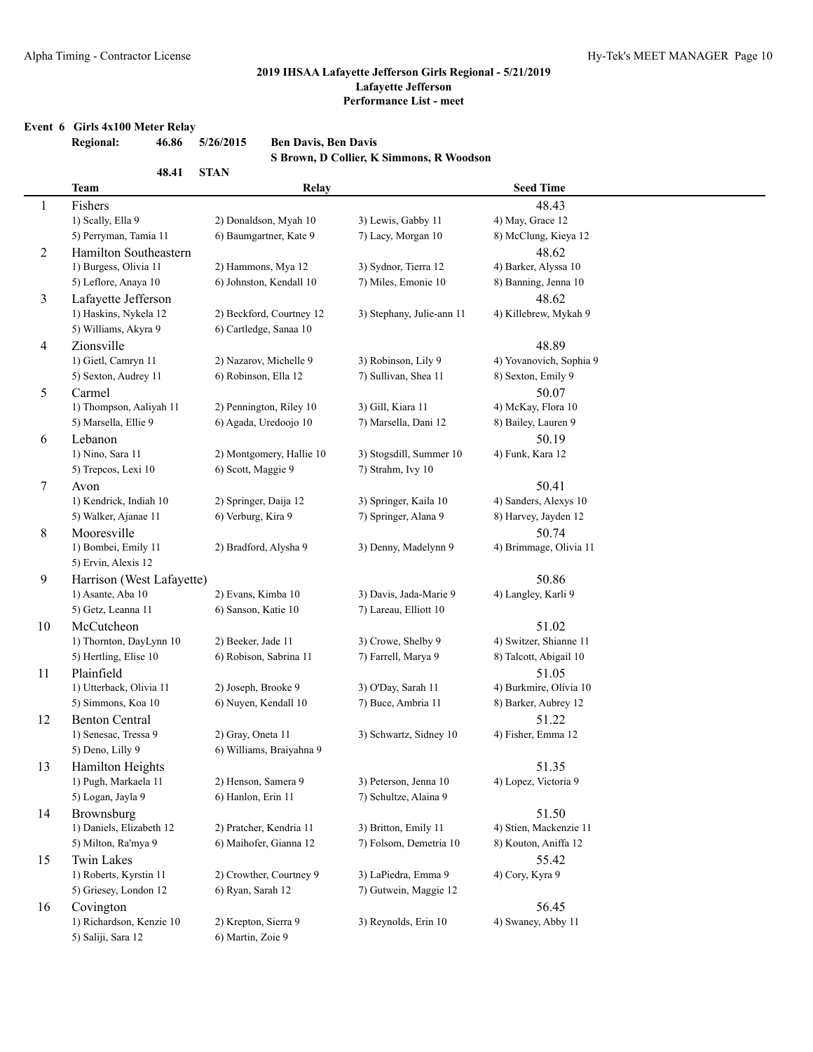#### **Event 6 Girls 4x100 Meter Relay**

|                | <b>Regional:</b>          | 46.86 | 5/26/2015          | <b>Ben Davis, Ben Davis</b> |                                          |                                 |
|----------------|---------------------------|-------|--------------------|-----------------------------|------------------------------------------|---------------------------------|
|                |                           |       |                    |                             | S Brown, D Collier, K Simmons, R Woodson |                                 |
|                |                           | 48.41 | <b>STAN</b>        |                             |                                          |                                 |
|                | Team                      |       |                    | Relay                       |                                          | <b>Seed Time</b>                |
| $\mathbf{1}$   | Fishers                   |       |                    |                             |                                          | 48.43                           |
|                | 1) Scally, Ella 9         |       |                    | 2) Donaldson, Myah 10       | 3) Lewis, Gabby 11                       | 4) May, Grace 12                |
|                | 5) Perryman, Tamia 11     |       |                    | 6) Baumgartner, Kate 9      | 7) Lacy, Morgan 10                       | 8) McClung, Kieya 12            |
| $\overline{2}$ | Hamilton Southeastern     |       |                    |                             |                                          | 48.62                           |
|                | 1) Burgess, Olivia 11     |       |                    | 2) Hammons, Mya 12          | 3) Sydnor, Tierra 12                     | 4) Barker, Alyssa 10            |
|                | 5) Leflore, Anaya 10      |       |                    | 6) Johnston, Kendall 10     | 7) Miles, Emonie 10                      | 8) Banning, Jenna 10            |
| 3              | Lafayette Jefferson       |       |                    |                             |                                          | 48.62                           |
|                | 1) Haskins, Nykela 12     |       |                    | 2) Beckford, Courtney 12    | 3) Stephany, Julie-ann 11                | 4) Killebrew, Mykah 9           |
|                | 5) Williams, Akyra 9      |       |                    | 6) Cartledge, Sanaa 10      |                                          |                                 |
| 4              | Zionsville                |       |                    |                             |                                          | 48.89                           |
|                | 1) Gietl, Camryn 11       |       |                    | 2) Nazarov, Michelle 9      | 3) Robinson, Lily 9                      | 4) Yovanovich, Sophia 9         |
|                | 5) Sexton, Audrey 11      |       |                    | 6) Robinson, Ella 12        | 7) Sullivan, Shea 11                     | 8) Sexton, Emily 9              |
| 5              | Carmel                    |       |                    |                             |                                          | 50.07                           |
|                | 1) Thompson, Aaliyah 11   |       |                    | 2) Pennington, Riley 10     | 3) Gill, Kiara 11                        | 4) McKay, Flora 10              |
|                | 5) Marsella, Ellie 9      |       |                    | 6) Agada, Uredoojo 10       | 7) Marsella, Dani 12                     | 8) Bailey, Lauren 9             |
| 6              | Lebanon                   |       |                    |                             |                                          | 50.19                           |
|                | 1) Nino, Sara 11          |       |                    | 2) Montgomery, Hallie 10    | 3) Stogsdill, Summer 10                  | 4) Funk, Kara 12                |
|                | 5) Trepcos, Lexi 10       |       | 6) Scott, Maggie 9 |                             | 7) Strahm, Ivy 10                        |                                 |
| $\tau$         | Avon                      |       |                    |                             |                                          | 50.41                           |
|                | 1) Kendrick, Indiah 10    |       |                    | 2) Springer, Daija 12       | 3) Springer, Kaila 10                    | 4) Sanders, Alexys 10           |
|                | 5) Walker, Ajanae 11      |       | 6) Verburg, Kira 9 |                             | 7) Springer, Alana 9                     | 8) Harvey, Jayden 12            |
|                | Mooresville               |       |                    |                             |                                          |                                 |
| 8              | 1) Bombei, Emily 11       |       |                    | 2) Bradford, Alysha 9       | 3) Denny, Madelynn 9                     | 50.74<br>4) Brimmage, Olivia 11 |
|                | 5) Ervin, Alexis 12       |       |                    |                             |                                          |                                 |
|                |                           |       |                    |                             |                                          |                                 |
| 9              | Harrison (West Lafayette) |       |                    | 2) Evans, Kimba 10          | 3) Davis, Jada-Marie 9                   | 50.86                           |
|                | 1) Asante, Aba 10         |       |                    |                             |                                          | 4) Langley, Karli 9             |
|                | 5) Getz, Leanna 11        |       |                    | 6) Sanson, Katie 10         | 7) Lareau, Elliott 10                    |                                 |
| 10             | McCutcheon                |       |                    |                             |                                          | 51.02                           |
|                | 1) Thornton, DayLynn 10   |       | 2) Beeker, Jade 11 |                             | 3) Crowe, Shelby 9                       | 4) Switzer, Shianne 11          |
|                | 5) Hertling, Elise 10     |       |                    | 6) Robison, Sabrina 11      | 7) Farrell, Marya 9                      | 8) Talcott, Abigail 10          |
| 11             | Plainfield                |       |                    |                             |                                          | 51.05                           |
|                | 1) Utterback, Olivia 11   |       |                    | 2) Joseph, Brooke 9         | 3) O'Day, Sarah 11                       | 4) Burkmire, Olivia 10          |
|                | 5) Simmons, Koa 10        |       |                    | 6) Nuyen, Kendall 10        | 7) Buce, Ambria 11                       | 8) Barker, Aubrey 12            |
| 12             | <b>Benton Central</b>     |       |                    |                             |                                          | 51.22                           |
|                | 1) Senesac, Tressa 9      |       | 2) Gray, Oneta 11  |                             | 3) Schwartz, Sidney 10                   | 4) Fisher, Emma 12              |
|                | 5) Deno, Lilly 9          |       |                    | 6) Williams, Braiyahna 9    |                                          |                                 |
| 13             | Hamilton Heights          |       |                    |                             |                                          | 51.35                           |
|                | 1) Pugh, Markaela 11      |       |                    | 2) Henson, Samera 9         | 3) Peterson, Jenna 10                    | 4) Lopez, Victoria 9            |
|                | 5) Logan, Jayla 9         |       | 6) Hanlon, Erin 11 |                             | 7) Schultze, Alaina 9                    |                                 |
| 14             | Brownsburg                |       |                    |                             |                                          | 51.50                           |
|                | 1) Daniels, Elizabeth 12  |       |                    | 2) Pratcher, Kendria 11     | 3) Britton, Emily 11                     | 4) Stien, Mackenzie 11          |
|                | 5) Milton, Ra'mya 9       |       |                    | 6) Maihofer, Gianna 12      | 7) Folsom, Demetria 10                   | 8) Kouton, Aniffa 12            |
| 15             | Twin Lakes                |       |                    |                             |                                          | 55.42                           |
|                | 1) Roberts, Kyrstin 11    |       |                    | 2) Crowther, Courtney 9     | 3) LaPiedra, Emma 9                      | 4) Cory, Kyra 9                 |
|                | 5) Griesey, London 12     |       | 6) Ryan, Sarah 12  |                             | 7) Gutwein, Maggie 12                    |                                 |
| 16             | Covington                 |       |                    |                             |                                          | 56.45                           |
|                | 1) Richardson, Kenzie 10  |       |                    | 2) Krepton, Sierra 9        | 3) Reynolds, Erin 10                     | 4) Swaney, Abby 11              |

5) Saliji, Sara 12 6) Martin, Zoie 9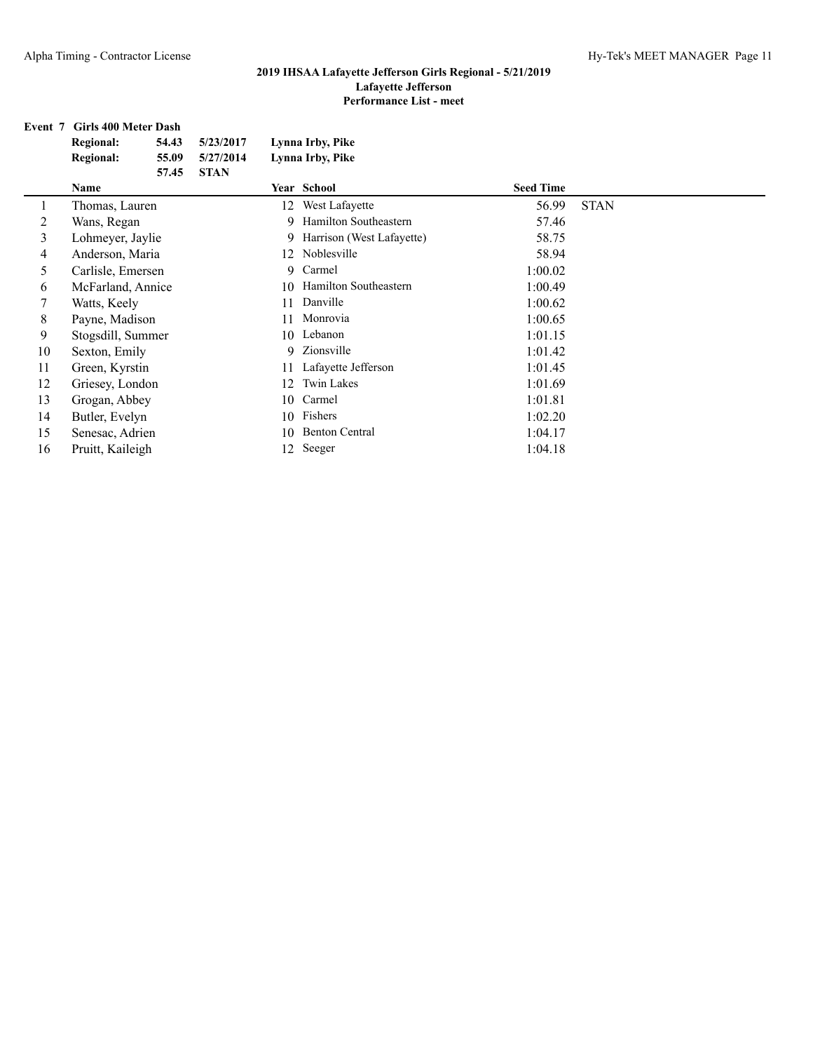## **Event 7 Girls 400 Meter Dash**

|    | <b>Regional:</b>  | 54.43 | 5/23/2017   |    | Lynna Irby, Pike          |                  |             |
|----|-------------------|-------|-------------|----|---------------------------|------------------|-------------|
|    | <b>Regional:</b>  | 55.09 | 5/27/2014   |    | Lynna Irby, Pike          |                  |             |
|    |                   | 57.45 | <b>STAN</b> |    |                           |                  |             |
|    | Name              |       |             |    | Year School               | <b>Seed Time</b> |             |
|    | Thomas, Lauren    |       |             | 12 | West Lafayette            | 56.99            | <b>STAN</b> |
| 2  | Wans, Regan       |       |             | 9  | Hamilton Southeastern     | 57.46            |             |
| 3  | Lohmeyer, Jaylie  |       |             | 9  | Harrison (West Lafayette) | 58.75            |             |
| 4  | Anderson, Maria   |       |             |    | 12 Noblesville            | 58.94            |             |
| 5  | Carlisle, Emersen |       |             | 9  | Carmel                    | 1:00.02          |             |
| 6  | McFarland, Annice |       |             | 10 | Hamilton Southeastern     | 1:00.49          |             |
| 7  | Watts, Keely      |       |             |    | Danville                  | 1:00.62          |             |
| 8  | Payne, Madison    |       |             |    | Monrovia                  | 1:00.65          |             |
| 9  | Stogsdill, Summer |       |             | 10 | Lebanon                   | 1:01.15          |             |
| 10 | Sexton, Emily     |       |             | 9  | Zionsville                | 1:01.42          |             |
| 11 | Green, Kyrstin    |       |             | 11 | Lafayette Jefferson       | 1:01.45          |             |
| 12 | Griesey, London   |       |             | 12 | Twin Lakes                | 1:01.69          |             |
| 13 | Grogan, Abbey     |       |             | 10 | Carmel                    | 1:01.81          |             |
| 14 | Butler, Evelyn    |       |             | 10 | Fishers                   | 1:02.20          |             |
| 15 | Senesac, Adrien   |       |             | 10 | <b>Benton Central</b>     | 1:04.17          |             |
| 16 | Pruitt, Kaileigh  |       |             | 12 | Seeger                    | 1:04.18          |             |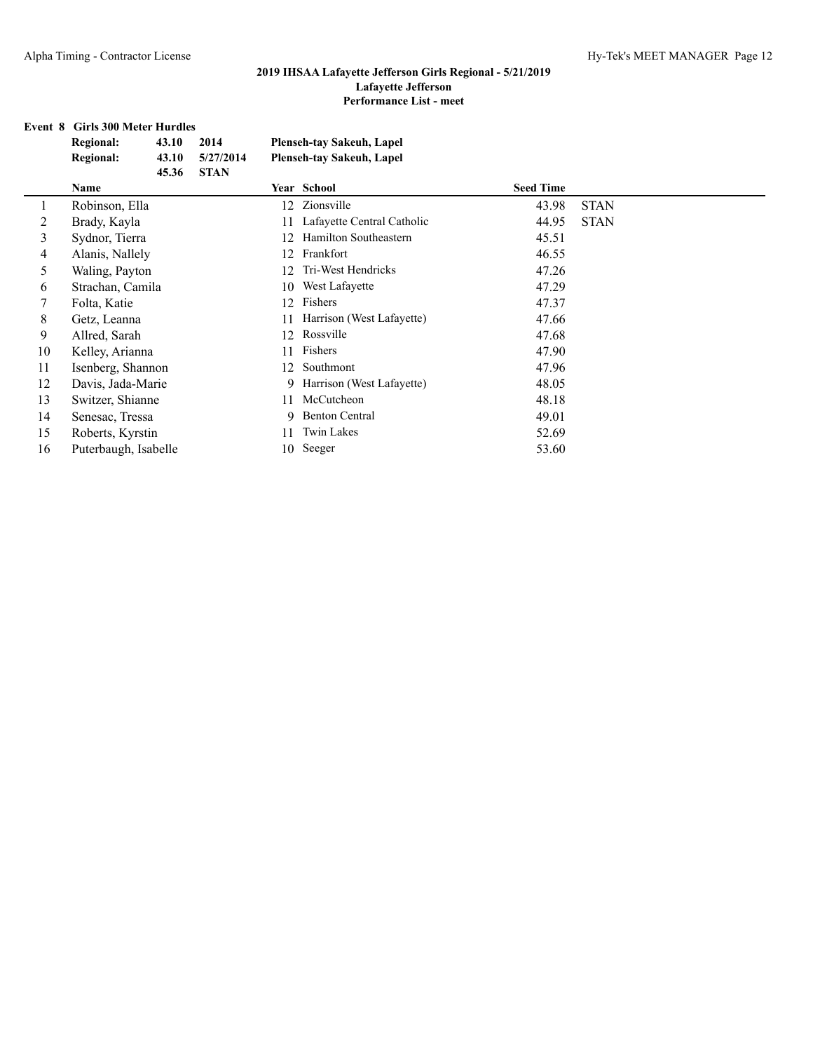#### **Event 8 Girls 300 Meter Hurdles**

|                | <b>Regional:</b><br>43.10<br>2014      | <b>Plenseh-tay Sakeuh, Lapel</b> |                      |
|----------------|----------------------------------------|----------------------------------|----------------------|
|                | <b>Regional:</b><br>43.10<br>5/27/2014 | <b>Plenseh-tay Sakeuh, Lapel</b> |                      |
|                | 45.36<br><b>STAN</b>                   |                                  |                      |
|                | Name                                   | Year School                      | <b>Seed Time</b>     |
| 1              | Robinson, Ella                         | Zionsville<br>12                 | 43.98<br><b>STAN</b> |
| 2              | Brady, Kayla                           | Lafayette Central Catholic<br>11 | 44.95<br><b>STAN</b> |
| 3              | Sydnor, Tierra                         | Hamilton Southeastern<br>12      | 45.51                |
| $\overline{4}$ | Alanis, Nallely                        | Frankfort<br>12                  | 46.55                |
| 5              | Waling, Payton                         | Tri-West Hendricks<br>12         | 47.26                |
| 6              | Strachan, Camila                       | West Lafayette<br>10             | 47.29                |
| 7              | Folta, Katie                           | Fishers<br>12                    | 47.37                |
| 8              | Getz, Leanna                           | Harrison (West Lafayette)<br>11  | 47.66                |
| 9              | Allred, Sarah                          | Rossville<br>12                  | 47.68                |
| 10             | Kelley, Arianna                        | Fishers<br>11                    | 47.90                |
| 11             | Isenberg, Shannon                      | Southmont<br>12                  | 47.96                |
| 12             | Davis, Jada-Marie                      | Harrison (West Lafayette)<br>9   | 48.05                |
| 13             | Switzer, Shianne                       | McCutcheon<br>11                 | 48.18                |
| 14             | Senesac, Tressa                        | <b>Benton Central</b><br>9       | 49.01                |
| 15             | Roberts, Kyrstin                       | <b>Twin Lakes</b><br>11          | 52.69                |
| 16             | Puterbaugh, Isabelle                   | Seeger<br>10                     | 53.60                |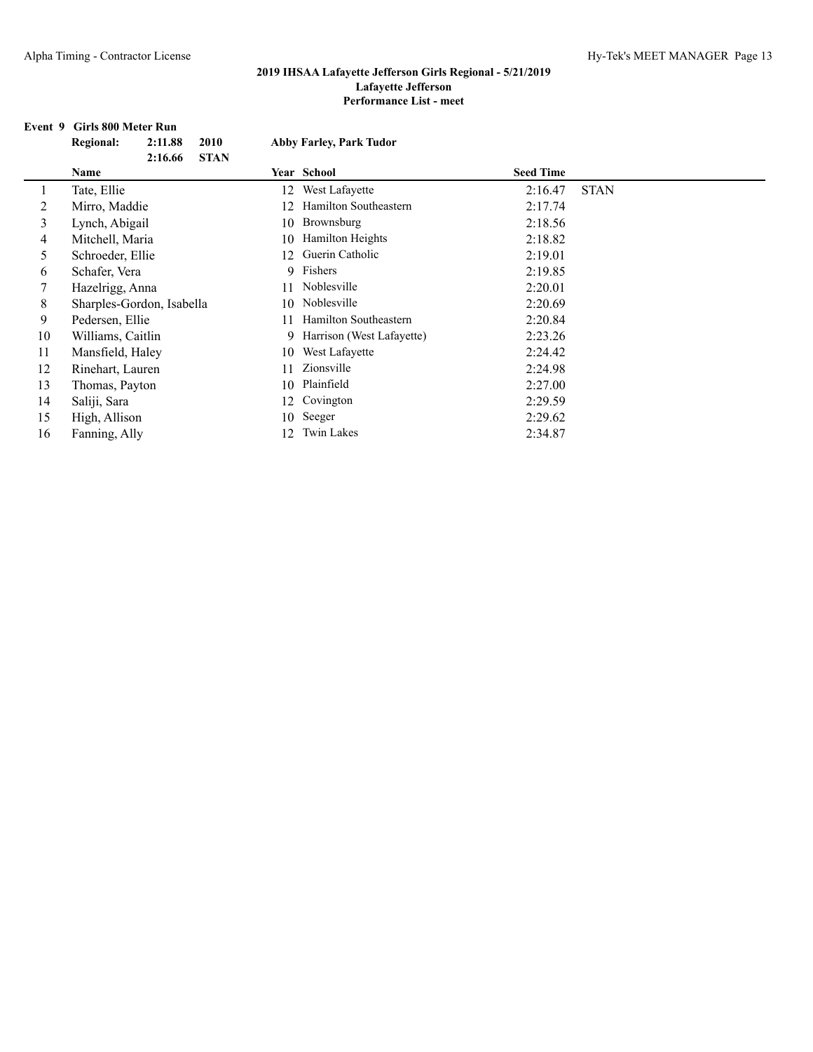#### **Event 9 Girls 800 Meter Run**

|              | 2:11.88          | 2010                                                                                                                                                                                                                                           |                           | <b>Abby Farley, Park Tudor</b> |                          |             |
|--------------|------------------|------------------------------------------------------------------------------------------------------------------------------------------------------------------------------------------------------------------------------------------------|---------------------------|--------------------------------|--------------------------|-------------|
|              | 2:16.66          | <b>STAN</b>                                                                                                                                                                                                                                    |                           |                                |                          |             |
| Name         |                  |                                                                                                                                                                                                                                                |                           |                                | <b>Seed Time</b>         |             |
| Tate, Ellie  |                  |                                                                                                                                                                                                                                                | 12                        | West Lafayette                 | 2:16.47                  | <b>STAN</b> |
|              |                  |                                                                                                                                                                                                                                                | 12                        | Hamilton Southeastern          | 2:17.74                  |             |
|              |                  |                                                                                                                                                                                                                                                | 10                        | Brownsburg                     | 2:18.56                  |             |
|              |                  |                                                                                                                                                                                                                                                | 10                        | Hamilton Heights               | 2:18.82                  |             |
|              |                  |                                                                                                                                                                                                                                                | 12                        | Guerin Catholic                | 2:19.01                  |             |
|              |                  |                                                                                                                                                                                                                                                |                           |                                | 2:19.85                  |             |
|              |                  |                                                                                                                                                                                                                                                | 11                        | Noblesville                    | 2:20.01                  |             |
|              |                  |                                                                                                                                                                                                                                                | 10.                       | Noblesville                    | 2:20.69                  |             |
|              |                  |                                                                                                                                                                                                                                                | 11                        | Hamilton Southeastern          | 2:20.84                  |             |
|              |                  |                                                                                                                                                                                                                                                | 9                         | Harrison (West Lafayette)      | 2:23.26                  |             |
|              |                  |                                                                                                                                                                                                                                                | 10                        | West Lafayette                 | 2:24.42                  |             |
|              |                  |                                                                                                                                                                                                                                                | 11                        | Zionsville                     | 2:24.98                  |             |
|              |                  |                                                                                                                                                                                                                                                | 10                        | Plainfield                     | 2:27.00                  |             |
| Saliji, Sara |                  |                                                                                                                                                                                                                                                | 12                        | Covington                      | 2:29.59                  |             |
|              |                  |                                                                                                                                                                                                                                                | 10                        | Seeger                         | 2:29.62                  |             |
|              |                  |                                                                                                                                                                                                                                                | 12                        | <b>Twin Lakes</b>              | 2:34.87                  |             |
|              | <b>Regional:</b> | Mirro, Maddie<br>Lynch, Abigail<br>Mitchell, Maria<br>Schroeder, Ellie<br>Schafer, Vera<br>Hazelrigg, Anna<br>Pedersen, Ellie<br>Williams, Caitlin<br>Mansfield, Haley<br>Rinehart, Lauren<br>Thomas, Payton<br>High, Allison<br>Fanning, Ally | Sharples-Gordon, Isabella |                                | Year School<br>9 Fishers |             |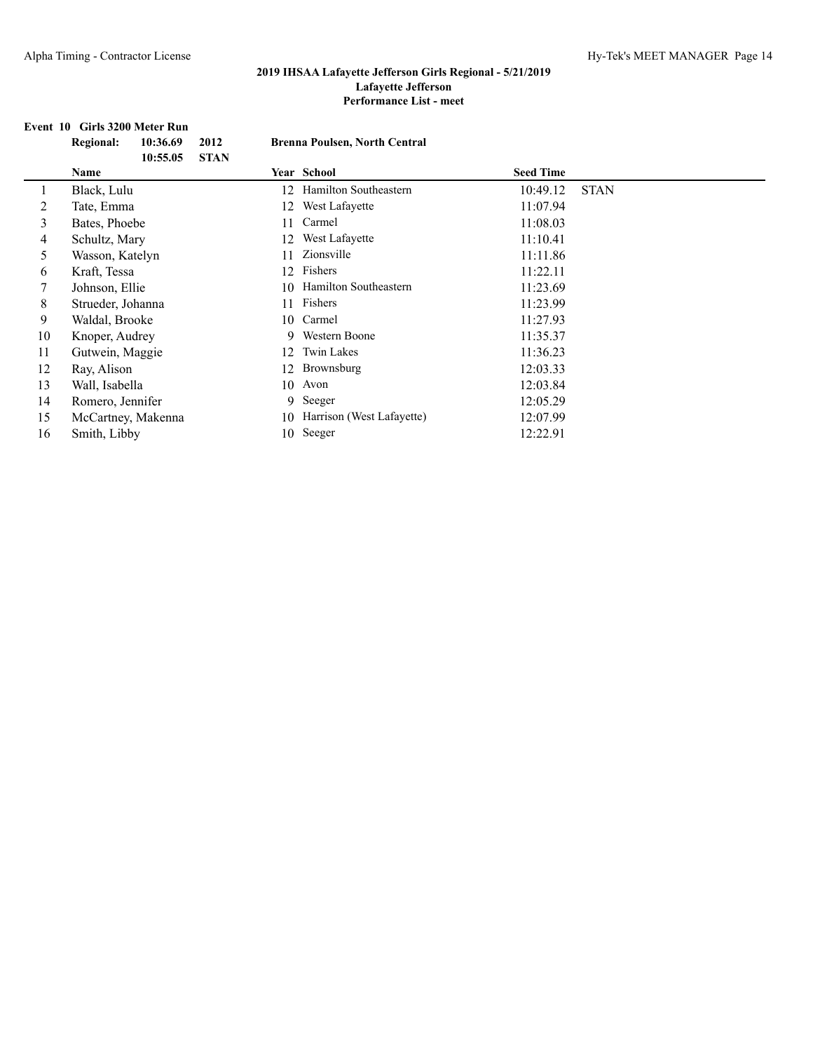## **Event 10 Girls 3200 Meter Run**

|    | <b>Regional:</b>   | 10:36.69 | 2012        |             | <b>Brenna Poulsen, North Central</b> |                  |             |
|----|--------------------|----------|-------------|-------------|--------------------------------------|------------------|-------------|
|    | Name               | 10:55.05 | <b>STAN</b> | Year School |                                      | <b>Seed Time</b> |             |
|    | Black, Lulu        |          | 12          |             | Hamilton Southeastern                | 10:49.12         | <b>STAN</b> |
| 2  | Tate, Emma         |          | 12          |             | West Lafayette                       | 11:07.94         |             |
| 3  | Bates, Phoebe      |          | 11          |             | Carmel                               | 11:08.03         |             |
| 4  | Schultz, Mary      |          | 12          |             | West Lafayette                       | 11:10.41         |             |
| 5  | Wasson, Katelyn    |          | 11          |             | Zionsville                           | 11:11.86         |             |
| 6  | Kraft, Tessa       |          | 12          |             | Fishers                              | 11:22.11         |             |
| 7  | Johnson, Ellie     |          | 10          |             | Hamilton Southeastern                | 11:23.69         |             |
| 8  | Strueder, Johanna  |          | 11          |             | Fishers                              | 11:23.99         |             |
| 9  | Waldal, Brooke     |          | 10          |             | Carmel                               | 11:27.93         |             |
| 10 | Knoper, Audrey     |          |             | 9           | Western Boone                        | 11:35.37         |             |
| 11 | Gutwein, Maggie    |          | 12          |             | Twin Lakes                           | 11:36.23         |             |
| 12 | Ray, Alison        |          | 12          |             | Brownsburg                           | 12:03.33         |             |
| 13 | Wall, Isabella     |          | 10          | Avon        |                                      | 12:03.84         |             |
| 14 | Romero, Jennifer   |          |             | Seeger<br>9 |                                      | 12:05.29         |             |
| 15 | McCartney, Makenna |          | 10          |             | Harrison (West Lafayette)            | 12:07.99         |             |
| 16 | Smith, Libby       |          | 10          | Seeger      |                                      | 12:22.91         |             |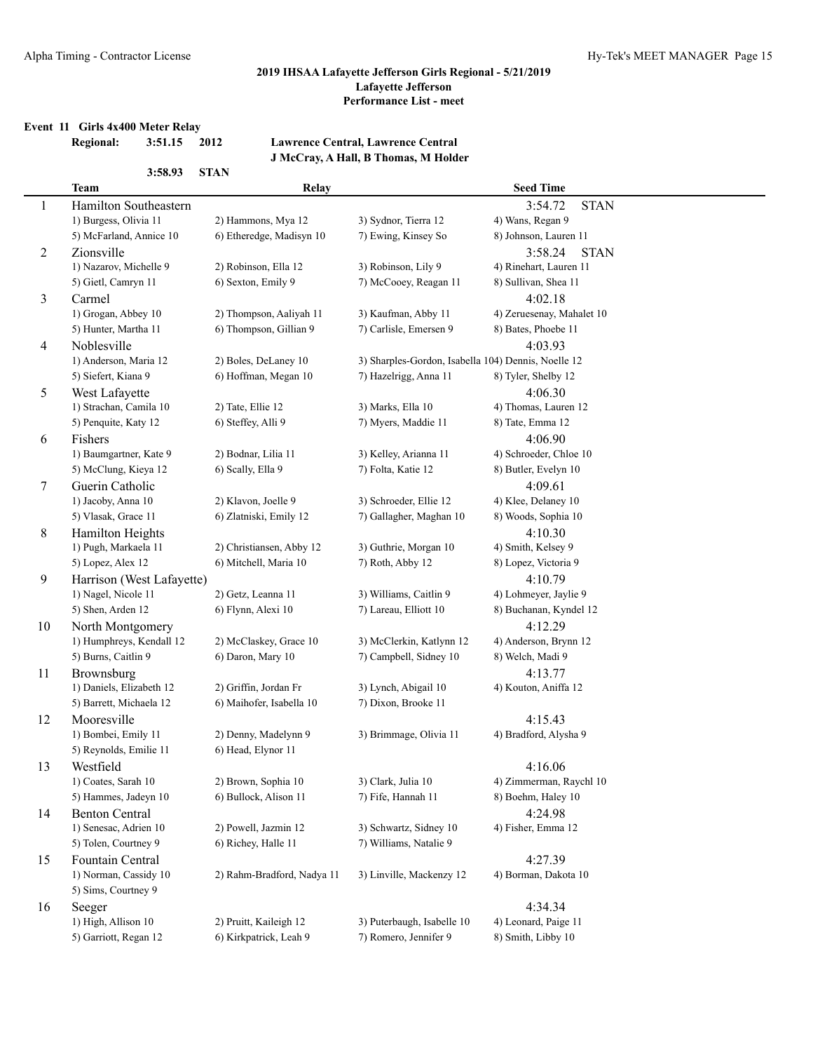#### **Event 11 Girls 4x400 Meter Relay**

**3:58.93 STAN**

## **Regional: 3:51.15 2012 Lawrence Central, Lawrence Central J McCray, A Hall, B Thomas, M Holder**

|                | <b>Team</b>                                   | Relay                                      |                                                     | <b>Seed Time</b>                   |
|----------------|-----------------------------------------------|--------------------------------------------|-----------------------------------------------------|------------------------------------|
| $\mathbf{1}$   | Hamilton Southeastern                         |                                            |                                                     | 3:54.72<br><b>STAN</b>             |
|                | 1) Burgess, Olivia 11                         | 2) Hammons, Mya 12                         | 3) Sydnor, Tierra 12                                | 4) Wans, Regan 9                   |
|                | 5) McFarland, Annice 10                       | 6) Etheredge, Madisyn 10                   | 7) Ewing, Kinsey So                                 | 8) Johnson, Lauren 11              |
| $\overline{c}$ | Zionsville                                    |                                            |                                                     | 3:58.24<br><b>STAN</b>             |
|                | 1) Nazarov, Michelle 9                        | 2) Robinson, Ella 12                       | 3) Robinson, Lily 9                                 | 4) Rinehart, Lauren 11             |
|                | 5) Gietl, Camryn 11                           | 6) Sexton, Emily 9                         | 7) McCooey, Reagan 11                               | 8) Sullivan, Shea 11               |
| 3              | Carmel                                        |                                            |                                                     | 4:02.18                            |
|                | 1) Grogan, Abbey 10                           | 2) Thompson, Aaliyah 11                    | 3) Kaufman, Abby 11                                 | 4) Zeruesenay, Mahalet 10          |
|                | 5) Hunter, Martha 11                          | 6) Thompson, Gillian 9                     | 7) Carlisle, Emersen 9                              | 8) Bates, Phoebe 11                |
| 4              | Noblesville                                   |                                            |                                                     | 4:03.93                            |
|                | 1) Anderson, Maria 12                         | 2) Boles, DeLaney 10                       | 3) Sharples-Gordon, Isabella 104) Dennis, Noelle 12 |                                    |
|                | 5) Siefert, Kiana 9                           | 6) Hoffman, Megan 10                       | 7) Hazelrigg, Anna 11                               | 8) Tyler, Shelby 12                |
| 5              | West Lafayette                                |                                            |                                                     | 4:06.30                            |
|                | 1) Strachan, Camila 10                        | 2) Tate, Ellie 12                          | 3) Marks, Ella 10                                   | 4) Thomas, Lauren 12               |
|                | 5) Penquite, Katy 12                          | 6) Steffey, Alli 9                         | 7) Myers, Maddie 11                                 | 8) Tate, Emma 12                   |
| 6              | Fishers                                       |                                            |                                                     | 4:06.90                            |
|                | 1) Baumgartner, Kate 9                        | 2) Bodnar, Lilia 11                        | 3) Kelley, Arianna 11                               | 4) Schroeder, Chloe 10             |
|                | 5) McClung, Kieya 12                          | 6) Scally, Ella 9                          | 7) Folta, Katie 12                                  | 8) Butler, Evelyn 10               |
| 7              | Guerin Catholic                               |                                            |                                                     | 4:09.61                            |
|                | 1) Jacoby, Anna 10                            | 2) Klavon, Joelle 9                        | 3) Schroeder, Ellie 12                              | 4) Klee, Delaney 10                |
|                | 5) Vlasak, Grace 11                           | 6) Zlatniski, Emily 12                     | 7) Gallagher, Maghan 10                             | 8) Woods, Sophia 10                |
| 8              | Hamilton Heights                              |                                            |                                                     | 4:10.30                            |
|                | 1) Pugh, Markaela 11                          | 2) Christiansen, Abby 12                   | 3) Guthrie, Morgan 10                               | 4) Smith, Kelsey 9                 |
|                | 5) Lopez, Alex 12                             | 6) Mitchell, Maria 10                      | 7) Roth, Abby 12                                    | 8) Lopez, Victoria 9               |
| 9              | Harrison (West Lafayette)                     |                                            |                                                     | 4:10.79                            |
|                | 1) Nagel, Nicole 11                           | 2) Getz, Leanna 11                         | 3) Williams, Caitlin 9                              | 4) Lohmeyer, Jaylie 9              |
|                | 5) Shen, Arden 12                             | 6) Flynn, Alexi 10                         | 7) Lareau, Elliott 10                               | 8) Buchanan, Kyndel 12             |
| 10             | North Montgomery                              |                                            |                                                     | 4:12.29                            |
|                | 1) Humphreys, Kendall 12                      | 2) McClaskey, Grace 10                     | 3) McClerkin, Katlynn 12                            | 4) Anderson, Brynn 12              |
|                | 5) Burns, Caitlin 9                           | 6) Daron, Mary 10                          | 7) Campbell, Sidney 10                              | 8) Welch, Madi 9                   |
| 11             | Brownsburg                                    |                                            |                                                     | 4:13.77                            |
|                | 1) Daniels, Elizabeth 12                      | 2) Griffin, Jordan Fr                      | 3) Lynch, Abigail 10                                | 4) Kouton, Aniffa 12               |
|                | 5) Barrett, Michaela 12                       | 6) Maihofer, Isabella 10                   | 7) Dixon, Brooke 11                                 |                                    |
| 12             | Mooresville                                   |                                            |                                                     | 4:15.43                            |
|                | 1) Bombei, Emily 11<br>5) Reynolds, Emilie 11 | 2) Denny, Madelynn 9<br>6) Head, Elynor 11 | 3) Brimmage, Olivia 11                              | 4) Bradford, Alysha 9              |
|                | Westfield                                     |                                            |                                                     |                                    |
| 13             | 1) Coates, Sarah 10                           | 2) Brown, Sophia 10                        | 3) Clark, Julia 10                                  | 4:16.06<br>4) Zimmerman, Raychl 10 |
|                | 5) Hammes, Jadeyn 10                          | 6) Bullock, Alison 11                      | 7) Fife, Hannah 11                                  | 8) Boehm, Haley 10                 |
| 14             | <b>Benton Central</b>                         |                                            |                                                     | 4:24.98                            |
|                | 1) Senesac, Adrien 10                         | 2) Powell, Jazmin 12                       | 3) Schwartz, Sidney 10                              | 4) Fisher, Emma 12                 |
|                | 5) Tolen, Courtney 9                          | 6) Richey, Halle 11                        | 7) Williams, Natalie 9                              |                                    |
| 15             | Fountain Central                              |                                            |                                                     | 4:27.39                            |
|                | 1) Norman, Cassidy 10                         | 2) Rahm-Bradford, Nadya 11                 | 3) Linville, Mackenzy 12                            | 4) Borman, Dakota 10               |
|                | 5) Sims, Courtney 9                           |                                            |                                                     |                                    |
| 16             | Seeger                                        |                                            |                                                     | 4:34.34                            |
|                | 1) High, Allison 10                           | 2) Pruitt, Kaileigh 12                     | 3) Puterbaugh, Isabelle 10                          | 4) Leonard, Paige 11               |
|                | 5) Garriott, Regan 12                         | 6) Kirkpatrick, Leah 9                     | 7) Romero, Jennifer 9                               | 8) Smith, Libby 10                 |